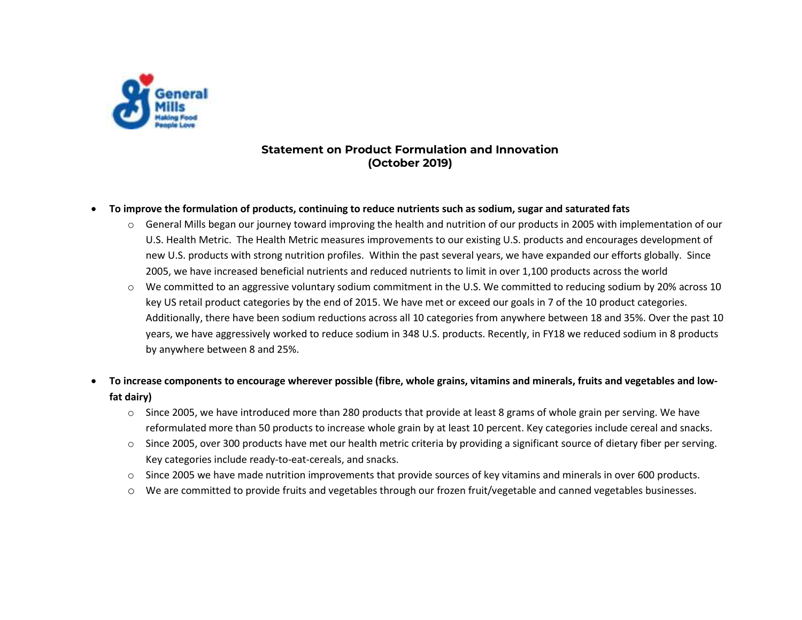

# **Statement on Product Formulation and Innovation (October 2019)**

#### $\bullet$ **To improve the formulation of products, continuing to reduce nutrients such as sodium, sugar and saturated fats**

- $\circ$  General Mills began our journey toward improving the health and nutrition of our products in 2005 with implementation of our U.S. Health Metric. The Health Metric measures improvements to our existing U.S. products and encourages development of new U.S. products with strong nutrition profiles. Within the past several years, we have expanded our efforts globally. Since 2005, we have increased beneficial nutrients and reduced nutrients to limit in over 1,100 products across the world
- o We committed to an aggressive voluntary sodium commitment in the U.S. We committed to reducing sodium by 20% across 10 key US retail product categories by the end of 2015. We have met or exceed our goals in 7 of the 10 product categories. Additionally, there have been sodium reductions across all 10 categories from anywhere between 18 and 35%. Over the past 10 years, we have aggressively worked to reduce sodium in 348 U.S. products. Recently, in FY18 we reduced sodium in 8 products by anywhere between 8 and 25%.

## . **To increase components to encourage wherever possible (fibre, whole grains, vitamins and minerals, fruits and vegetables and lowfat dairy)**

- $\circ$  Since 2005, we have introduced more than 280 products that provide at least 8 grams of whole grain per serving. We have reformulated more than 50 products to increase whole grain by at least 10 percent. Key categories include cereal and snacks.
- o Since 2005, over 300 products have met our health metric criteria by providing a significant source of dietary fiber per serving. Key categories include ready-to-eat-cereals, and snacks.
- o Since 2005 we have made nutrition improvements that provide sources of key vitamins and minerals in over 600 products.
- o We are committed to provide fruits and vegetables through our frozen fruit/vegetable and canned vegetables businesses.